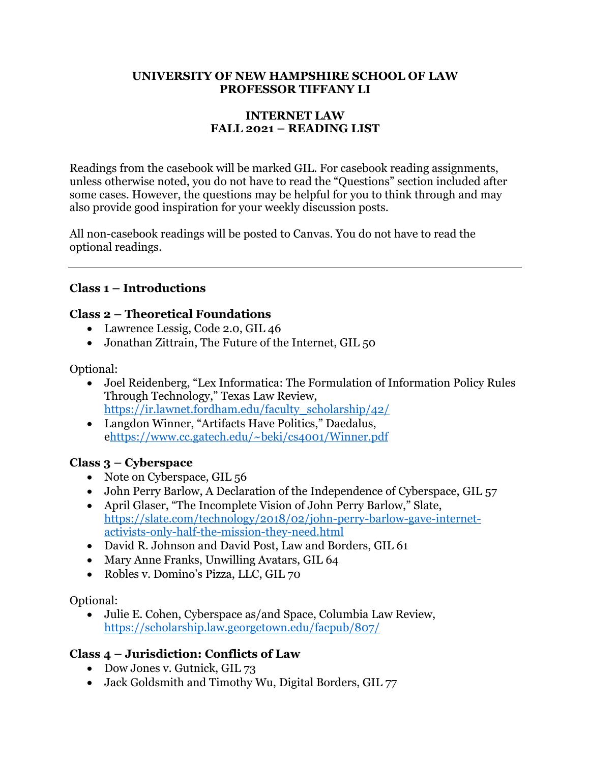#### **UNIVERSITY OF NEW HAMPSHIRE SCHOOL OF LAW PROFESSOR TIFFANY LI**

#### **INTERNET LAW FALL 2021 – READING LIST**

Readings from the casebook will be marked GIL. For casebook reading assignments, unless otherwise noted, you do not have to read the "Questions" section included after some cases. However, the questions may be helpful for you to think through and may also provide good inspiration for your weekly discussion posts.

All non-casebook readings will be posted to Canvas. You do not have to read the optional readings.

### **Class 1 – Introductions**

#### **Class 2 – Theoretical Foundations**

- Lawrence Lessig, Code 2.0, GIL 46
- Jonathan Zittrain, The Future of the Internet, GIL 50

Optional:

- Joel Reidenberg, "Lex Informatica: The Formulation of Information Policy Rules Through Technology," Texas Law Review, https://ir.lawnet.fordham.edu/faculty\_scholarship/42/
- Langdon Winner, "Artifacts Have Politics," Daedalus, ehttps://www.cc.gatech.edu/~beki/cs4001/Winner.pdf

#### **Class 3 – Cyberspace**

- Note on Cyberspace, GIL 56
- John Perry Barlow, A Declaration of the Independence of Cyberspace, GIL 57
- April Glaser, "The Incomplete Vision of John Perry Barlow," Slate, https://slate.com/technology/2018/02/john-perry-barlow-gave-internetactivists-only-half-the-mission-they-need.html
- David R. Johnson and David Post, Law and Borders, GIL 61
- Mary Anne Franks, Unwilling Avatars, GIL 64
- Robles v. Domino's Pizza, LLC, GIL 70

Optional:

• Julie E. Cohen, Cyberspace as/and Space, Columbia Law Review, https://scholarship.law.georgetown.edu/facpub/807/

### **Class 4 – Jurisdiction: Conflicts of Law**

- Dow Jones v. Gutnick, GIL 73
- Jack Goldsmith and Timothy Wu, Digital Borders, GIL 77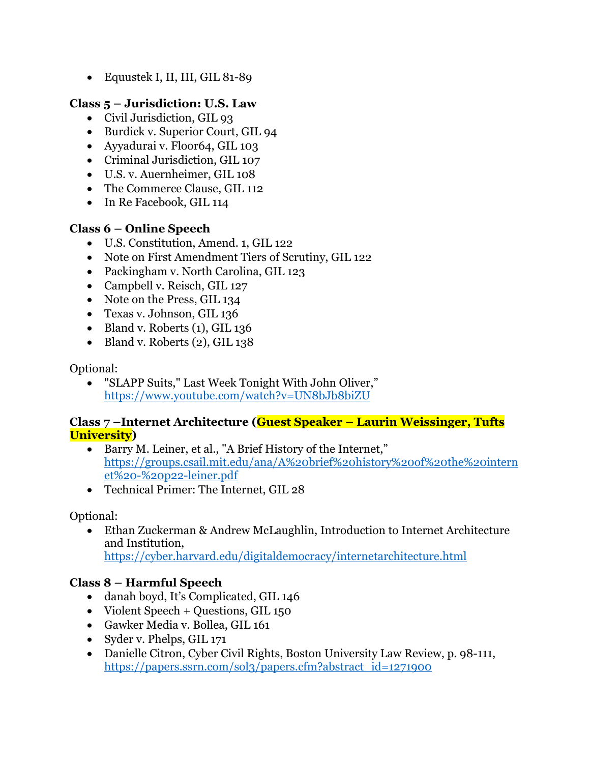• Equustek I, II, III, GIL 81-89

### **Class 5 – Jurisdiction: U.S. Law**

- Civil Jurisdiction, GIL 93
- Burdick v. Superior Court, GIL 94
- Ayyadurai v. Floor64, GIL 103
- Criminal Jurisdiction, GIL 107
- U.S. v. Auernheimer, GIL 108
- The Commerce Clause, GIL 112
- In Re Facebook, GIL 114

### **Class 6 – Online Speech**

- U.S. Constitution, Amend. 1, GIL 122
- Note on First Amendment Tiers of Scrutiny, GIL 122
- Packingham v. North Carolina, GIL 123
- Campbell v. Reisch, GIL 127
- Note on the Press, GIL 134
- Texas v. Johnson, GIL 136
- Bland v. Roberts (1), GIL 136
- Bland v. Roberts (2), GIL 138

#### Optional:

• "SLAPP Suits," Last Week Tonight With John Oliver," https://www.youtube.com/watch?v=UN8bJb8biZU

#### **Class 7 –Internet Architecture (Guest Speaker – Laurin Weissinger, Tufts University)**

- Barry M. Leiner, et al., "A Brief History of the Internet," https://groups.csail.mit.edu/ana/A%20brief%20history%20of%20the%20intern et%20-%20p22-leiner.pdf
- Technical Primer: The Internet, GIL 28

#### Optional:

• Ethan Zuckerman & Andrew McLaughlin, Introduction to Internet Architecture and Institution, https://cyber.harvard.edu/digitaldemocracy/internetarchitecture.html

### **Class 8 – Harmful Speech**

- danah boyd, It's Complicated, GIL 146
- Violent Speech + Questions, GIL 150
- Gawker Media v. Bollea, GIL 161
- Syder v. Phelps, GIL 171
- Danielle Citron, Cyber Civil Rights, Boston University Law Review, p. 98-111, https://papers.ssrn.com/sol3/papers.cfm?abstract\_id=1271900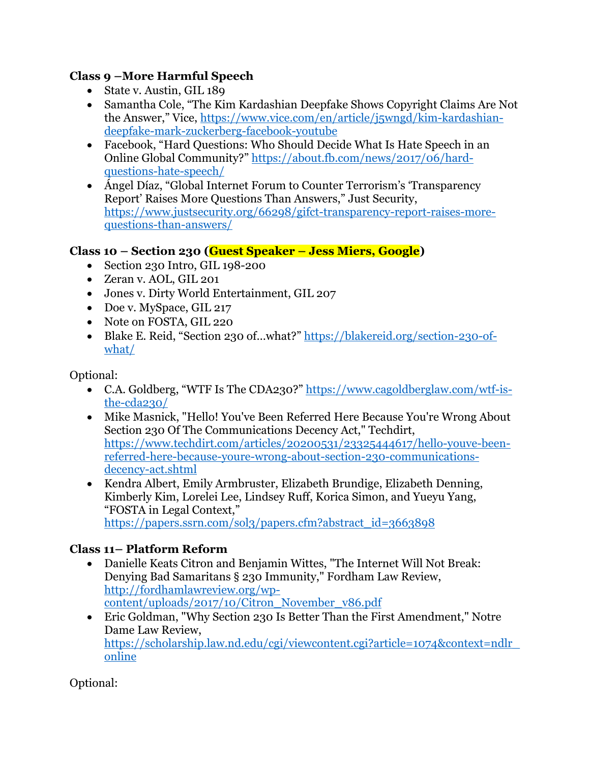### **Class 9 –More Harmful Speech**

- State v. Austin, GIL 189
- Samantha Cole, "The Kim Kardashian Deepfake Shows Copyright Claims Are Not the Answer," Vice, https://www.vice.com/en/article/j5wngd/kim-kardashiandeepfake-mark-zuckerberg-facebook-youtube
- Facebook, "Hard Ouestions: Who Should Decide What Is Hate Speech in an Online Global Community?" https://about.fb.com/news/2017/06/hardquestions-hate-speech/
- Ángel Díaz, "Global Internet Forum to Counter Terrorism's 'Transparency Report' Raises More Questions Than Answers," Just Security, https://www.justsecurity.org/66298/gifct-transparency-report-raises-morequestions-than-answers/

### **Class 10 – Section 230 (Guest Speaker – Jess Miers, Google)**

- Section 230 Intro, GIL 198-200
- Zeran v. AOL, GIL 201
- Jones v. Dirty World Entertainment, GIL 207
- Doe v. MySpace, GIL 217
- Note on FOSTA, GIL 220
- Blake E. Reid, "Section 230 of...what?" https://blakereid.org/section-230-ofwhat/

Optional:

- C.A. Goldberg, "WTF Is The CDA230?" https://www.cagoldberglaw.com/wtf-isthe-cda230/
- Mike Masnick, "Hello! You've Been Referred Here Because You're Wrong About Section 230 Of The Communications Decency Act," Techdirt, https://www.techdirt.com/articles/20200531/23325444617/hello-youve-beenreferred-here-because-youre-wrong-about-section-230-communicationsdecency-act.shtml
- Kendra Albert, Emily Armbruster, Elizabeth Brundige, Elizabeth Denning, Kimberly Kim, Lorelei Lee, Lindsey Ruff, Korica Simon, and Yueyu Yang, "FOSTA in Legal Context," https://papers.ssrn.com/sol3/papers.cfm?abstract\_id=3663898

#### **Class 11– Platform Reform**

- Danielle Keats Citron and Benjamin Wittes, "The Internet Will Not Break: Denying Bad Samaritans § 230 Immunity," Fordham Law Review, http://fordhamlawreview.org/wpcontent/uploads/2017/10/Citron\_November\_v86.pdf
- Eric Goldman, "Why Section 230 Is Better Than the First Amendment," Notre Dame Law Review, https://scholarship.law.nd.edu/cgi/viewcontent.cgi?article=1074&context=ndlr\_ online

Optional: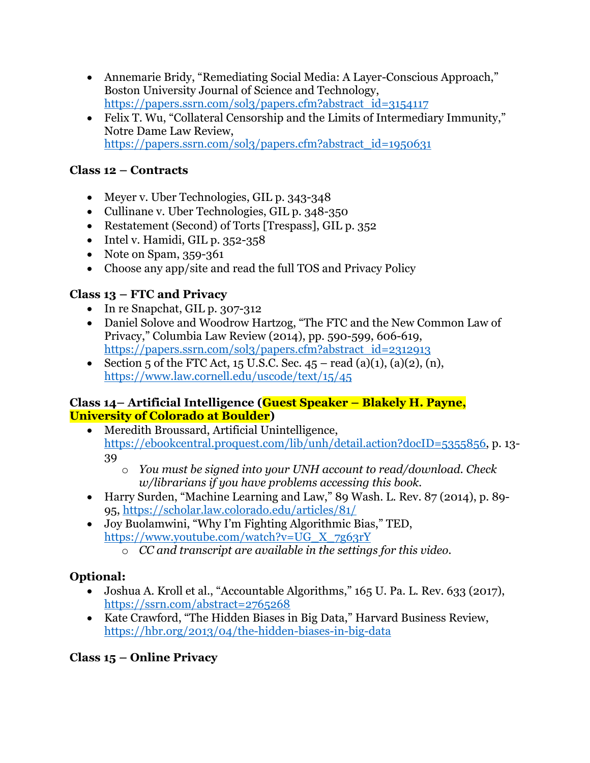- Annemarie Bridy, "Remediating Social Media: A Layer-Conscious Approach," Boston University Journal of Science and Technology, https://papers.ssrn.com/sol3/papers.cfm?abstract\_id=3154117
- Felix T. Wu, "Collateral Censorship and the Limits of Intermediary Immunity," Notre Dame Law Review, https://papers.ssrn.com/sol3/papers.cfm?abstract\_id=1950631

### **Class 12 – Contracts**

- Meyer v. Uber Technologies, GIL p. 343-348
- Cullinane v. Uber Technologies, GIL p. 348-350
- Restatement (Second) of Torts [Trespass], GIL p. 352
- Intel v. Hamidi, GIL p. 352-358
- Note on Spam, 359-361
- Choose any app/site and read the full TOS and Privacy Policy

## **Class 13 – FTC and Privacy**

- In re Snapchat, GIL p. 307-312
- Daniel Solove and Woodrow Hartzog, "The FTC and the New Common Law of Privacy," Columbia Law Review (2014), pp. 590-599, 606-619, https://papers.ssrn.com/sol3/papers.cfm?abstract\_id=2312913
- Section 5 of the FTC Act, 15 U.S.C. Sec.  $45 \text{read } (a)(1), (a)(2), (n),$ https://www.law.cornell.edu/uscode/text/15/45

#### **Class 14– Artificial Intelligence (Guest Speaker – Blakely H. Payne, University of Colorado at Boulder)**

- Meredith Broussard, Artificial Unintelligence, https://ebookcentral.proquest.com/lib/unh/detail.action?docID=5355856, p. 13- 39
	- o *You must be signed into your UNH account to read/download. Check w/librarians if you have problems accessing this book.*
- Harry Surden, "Machine Learning and Law," 89 Wash. L. Rev. 87 (2014), p. 89- 95, https://scholar.law.colorado.edu/articles/81/
- Joy Buolamwini, "Why I'm Fighting Algorithmic Bias," TED, https://www.youtube.com/watch?v=UG\_X\_7g63rY
	- o *CC and transcript are available in the settings for this video.*

## **Optional:**

- Joshua A. Kroll et al., "Accountable Algorithms," 165 U. Pa. L. Rev. 633 (2017), https://ssrn.com/abstract=2765268
- Kate Crawford, "The Hidden Biases in Big Data," Harvard Business Review, https://hbr.org/2013/04/the-hidden-biases-in-big-data

## **Class 15 – Online Privacy**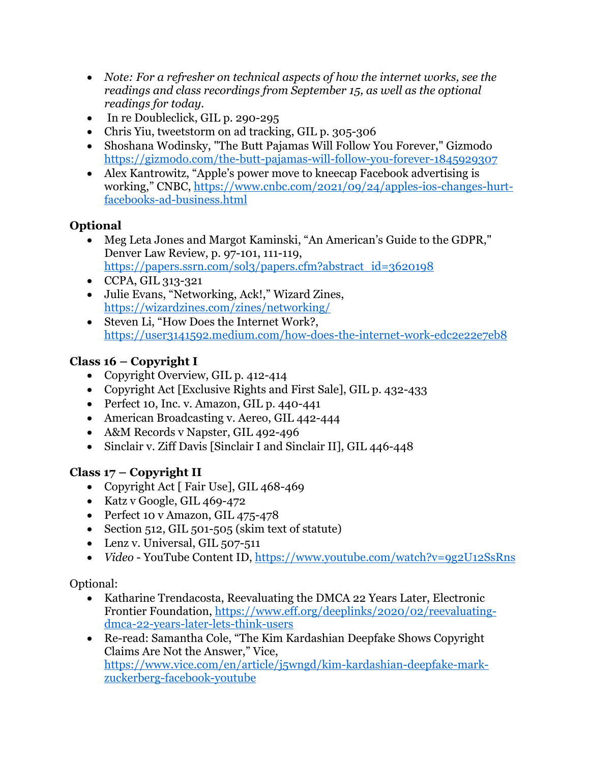- *Note: For a refresher on technical aspects of how the internet works, see the readings and class recordings from September 15, as well as the optional readings for today.*
- In re Doubleclick, GIL p. 290-295
- Chris Yiu, tweetstorm on ad tracking, GIL p. 305-306
- Shoshana Wodinsky, "The Butt Pajamas Will Follow You Forever," Gizmodo https://gizmodo.com/the-butt-pajamas-will-follow-you-forever-1845929307
- Alex Kantrowitz, "Apple's power move to kneecap Facebook advertising is working," CNBC, https://www.cnbc.com/2021/09/24/apples-ios-changes-hurtfacebooks-ad-business.html

## **Optional**

- Meg Leta Jones and Margot Kaminski, "An American's Guide to the GDPR," Denver Law Review, p. 97-101, 111-119, https://papers.ssrn.com/sol3/papers.cfm?abstract\_id=3620198
- CCPA, GIL 313-321
- Julie Evans, "Networking, Ack!," Wizard Zines, https://wizardzines.com/zines/networking/
- Steven Li, "How Does the Internet Work?, https://user3141592.medium.com/how-does-the-internet-work-edc2e22e7eb8

# **Class 16 – Copyright I**

- Copyright Overview, GIL p. 412-414
- Copyright Act [Exclusive Rights and First Sale], GIL p. 432-433
- Perfect 10, Inc. v. Amazon, GIL p. 440-441
- American Broadcasting v. Aereo, GIL 442-444
- A&M Records v Napster, GIL 492-496
- Sinclair v. Ziff Davis [Sinclair I and Sinclair II], GIL 446-448

# **Class 17 – Copyright II**

- Copyright Act [ Fair Use], GIL 468-469
- Katz v Google, GIL 469-472
- Perfect 10 v Amazon, GIL 475-478
- Section 512, GIL 501-505 (skim text of statute)
- Lenz v. Universal, GIL 507-511
- *Video* YouTube Content ID, https://www.youtube.com/watch?v=9g2U12SsRns

## Optional:

- Katharine Trendacosta, Reevaluating the DMCA 22 Years Later, Electronic Frontier Foundation, https://www.eff.org/deeplinks/2020/02/reevaluatingdmca-22-years-later-lets-think-users
- Re-read: Samantha Cole, "The Kim Kardashian Deepfake Shows Copyright Claims Are Not the Answer," Vice, https://www.vice.com/en/article/j5wngd/kim-kardashian-deepfake-markzuckerberg-facebook-youtube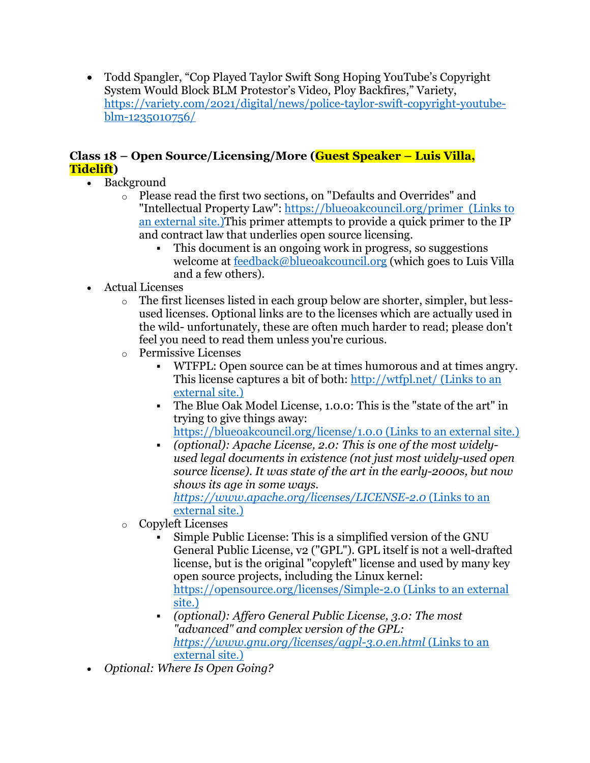• Todd Spangler, "Cop Played Taylor Swift Song Hoping YouTube's Copyright System Would Block BLM Protestor's Video, Ploy Backfires," Variety, https://variety.com/2021/digital/news/police-taylor-swift-copyright-youtubeblm-1235010756/

### **Class 18 – Open Source/Licensing/More (Guest Speaker – Luis Villa, Tidelift)**

- Background
	- o Please read the first two sections, on "Defaults and Overrides" and "Intellectual Property Law": https://blueoakcouncil.org/primer (Links to an external site.)This primer attempts to provide a quick primer to the IP and contract law that underlies open source licensing.
		- This document is an ongoing work in progress, so suggestions welcome at feedback@blueoakcouncil.org (which goes to Luis Villa and a few others).
- Actual Licenses
	- o The first licenses listed in each group below are shorter, simpler, but lessused licenses. Optional links are to the licenses which are actually used in the wild- unfortunately, these are often much harder to read; please don't feel you need to read them unless you're curious.
	- o Permissive Licenses
		- § WTFPL: Open source can be at times humorous and at times angry. This license captures a bit of both: http://wtfpl.net/ (Links to an external site.)
		- § The Blue Oak Model License, 1.0.0: This is the "state of the art" in trying to give things away: https://blueoakcouncil.org/license/1.0.0 (Links to an external site.)
		- § *(optional): Apache License, 2.0: This is one of the most widelyused legal documents in existence (not just most widely-used open source license). It was state of the art in the early-2000s, but now shows its age in some ways. https://www.apache.org/licenses/LICENSE-2.0* (Links to an external site.)
	- o Copyleft Licenses
		- § Simple Public License: This is a simplified version of the GNU General Public License, v2 ("GPL"). GPL itself is not a well-drafted license, but is the original "copyleft" license and used by many key open source projects, including the Linux kernel: https://opensource.org/licenses/Simple-2.0 (Links to an external site.)
		- § *(optional): Affero General Public License, 3.0: The most "advanced" and complex version of the GPL: https://www.gnu.org/licenses/agpl-3.0.en.html* (Links to an external site.)
- *Optional: Where Is Open Going?*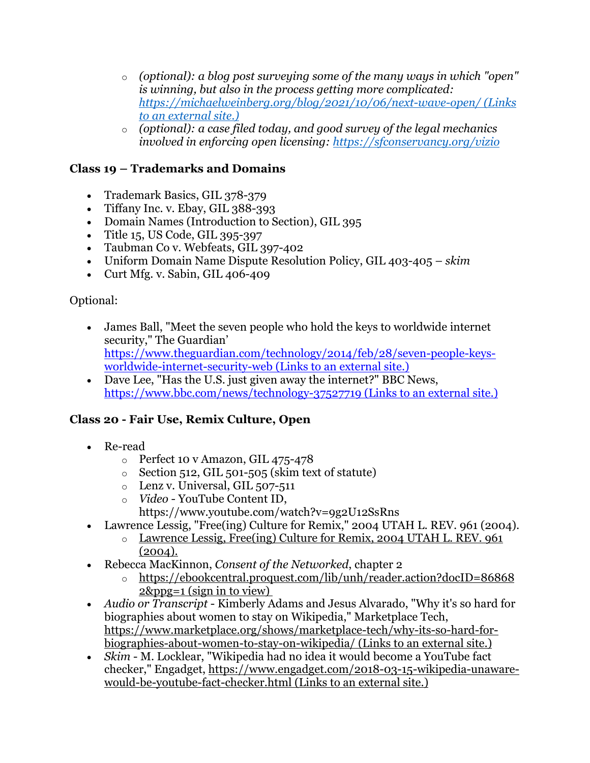- o *(optional): a blog post surveying some of the many ways in which "open" is winning, but also in the process getting more complicated: https://michaelweinberg.org/blog/2021/10/06/next-wave-open/ (Links to an external site.)*
- o *(optional): a case filed today, and good survey of the legal mechanics involved in enforcing open licensing: https://sfconservancy.org/vizio*

### **Class 19 – Trademarks and Domains**

- Trademark Basics, GIL 378-379
- Tiffany Inc. v. Ebay, GIL 388-393
- Domain Names (Introduction to Section), GIL 395
- Title 15, US Code, GIL 395-397
- Taubman Co v. Webfeats, GIL 397-402
- Uniform Domain Name Dispute Resolution Policy, GIL 403-405 *skim*
- Curt Mfg. v. Sabin, GIL 406-409

Optional:

- James Ball, "Meet the seven people who hold the keys to worldwide internet security," The Guardian' https://www.theguardian.com/technology/2014/feb/28/seven-people-keysworldwide-internet-security-web (Links to an external site.)
- Dave Lee, "Has the U.S. just given away the internet?" BBC News, https://www.bbc.com/news/technology-37527719 (Links to an external site.)

### **Class 20 - Fair Use, Remix Culture, Open**

- Re-read
	- o Perfect 10 v Amazon, GIL 475-478
	- $\circ$  Section 512, GIL 501-505 (skim text of statute)
	- $\circ$  Lenz v. Universal, GIL 507-511
	- o *Video* YouTube Content ID,
		- https://www.youtube.com/watch?v=9g2U12SsRns
- Lawrence Lessig, "Free(ing) Culture for Remix," 2004 UTAH L. REV. 961 (2004).
	- o Lawrence Lessig, Free(ing) Culture for Remix, 2004 UTAH L. REV. 961  $(2004).$
- Rebecca MacKinnon, *Consent of the Networked*, chapter 2
	- o https://ebookcentral.proquest.com/lib/unh/reader.action?docID=86868 2&ppg=1 (sign in to view)
- *Audio or Transcript* Kimberly Adams and Jesus Alvarado, "Why it's so hard for biographies about women to stay on Wikipedia," Marketplace Tech, https://www.marketplace.org/shows/marketplace-tech/why-its-so-hard-forbiographies-about-women-to-stay-on-wikipedia/ (Links to an external site.)
- *Skim* M. Locklear, "Wikipedia had no idea it would become a YouTube fact checker," Engadget, https://www.engadget.com/2018-03-15-wikipedia-unawarewould-be-youtube-fact-checker.html (Links to an external site.)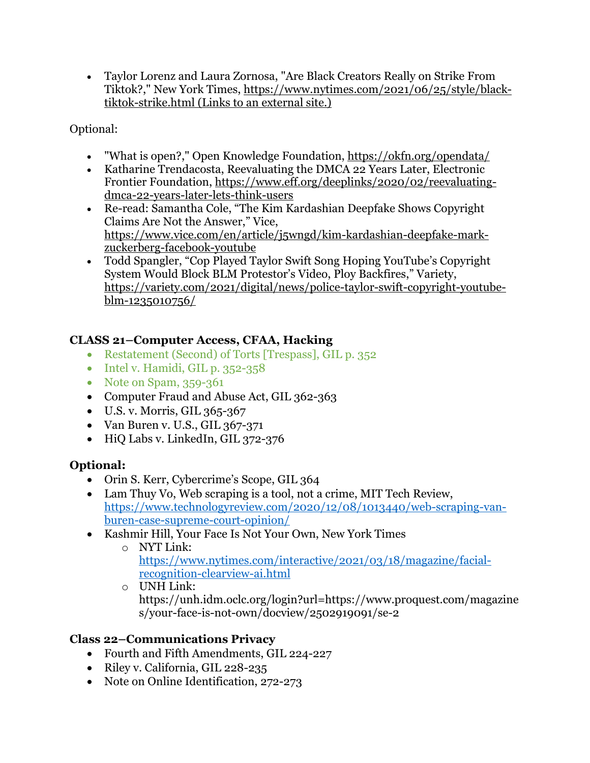• Taylor Lorenz and Laura Zornosa, "Are Black Creators Really on Strike From Tiktok?," New York Times, https://www.nytimes.com/2021/06/25/style/blacktiktok-strike.html (Links to an external site.)

Optional:

- "What is open?," Open Knowledge Foundation, https://okfn.org/opendata/
- Katharine Trendacosta, Reevaluating the DMCA 22 Years Later, Electronic Frontier Foundation, https://www.eff.org/deeplinks/2020/02/reevaluatingdmca-22-years-later-lets-think-users
- Re-read: Samantha Cole, "The Kim Kardashian Deepfake Shows Copyright Claims Are Not the Answer," Vice, https://www.vice.com/en/article/j5wngd/kim-kardashian-deepfake-markzuckerberg-facebook-youtube
- Todd Spangler, "Cop Played Taylor Swift Song Hoping YouTube's Copyright System Would Block BLM Protestor's Video, Ploy Backfires," Variety, https://variety.com/2021/digital/news/police-taylor-swift-copyright-youtubeblm-1235010756/

## **CLASS 21–Computer Access, CFAA, Hacking**

- Restatement (Second) of Torts [Trespass], GIL p. 352
- Intel v. Hamidi, GIL p. 352-358
- Note on Spam, 359-361
- Computer Fraud and Abuse Act, GIL 362-363
- U.S. v. Morris, GIL 365-367
- Van Buren v. U.S., GIL 367-371
- HiQ Labs v. LinkedIn, GIL 372-376

## **Optional:**

- Orin S. Kerr, Cybercrime's Scope, GIL 364
- Lam Thuy Vo, Web scraping is a tool, not a crime, MIT Tech Review, https://www.technologyreview.com/2020/12/08/1013440/web-scraping-vanburen-case-supreme-court-opinion/
- Kashmir Hill, Your Face Is Not Your Own, New York Times
	- o NYT Link: https://www.nytimes.com/interactive/2021/03/18/magazine/facialrecognition-clearview-ai.html
	- o UNH Link: https://unh.idm.oclc.org/login?url=https://www.proquest.com/magazine s/your-face-is-not-own/docview/2502919091/se-2

## **Class 22–Communications Privacy**

- Fourth and Fifth Amendments, GIL 224-227
- Riley v. California, GIL 228-235
- Note on Online Identification, 272-273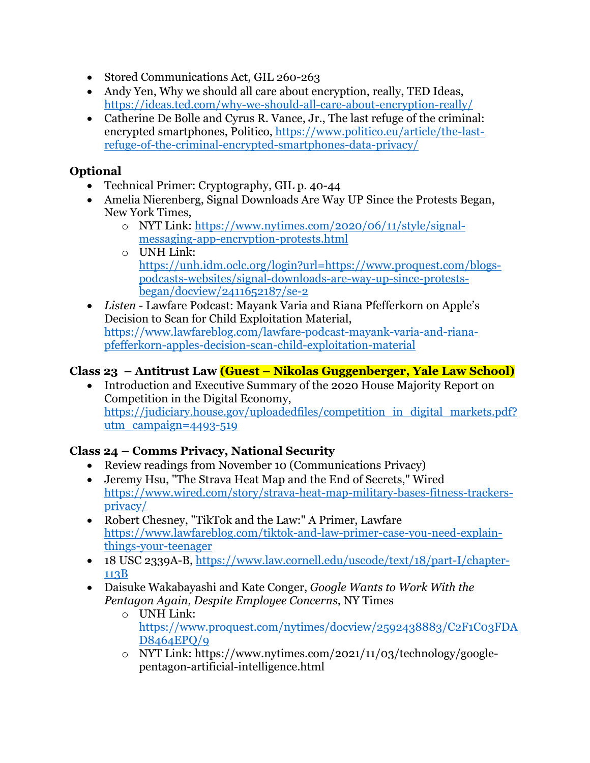- Stored Communications Act, GIL 260-263
- Andy Yen, Why we should all care about encryption, really, TED Ideas, https://ideas.ted.com/why-we-should-all-care-about-encryption-really/
- Catherine De Bolle and Cyrus R. Vance, Jr., The last refuge of the criminal: encrypted smartphones, Politico, https://www.politico.eu/article/the-lastrefuge-of-the-criminal-encrypted-smartphones-data-privacy/

### **Optional**

- Technical Primer: Cryptography, GIL p. 40-44
- Amelia Nierenberg, Signal Downloads Are Way UP Since the Protests Began, New York Times,
	- o NYT Link: https://www.nytimes.com/2020/06/11/style/signalmessaging-app-encryption-protests.html
	- $\circ$  UNH Link: https://unh.idm.oclc.org/login?url=https://www.proquest.com/blogspodcasts-websites/signal-downloads-are-way-up-since-protestsbegan/docview/2411652187/se-2
- *Listen* Lawfare Podcast: Mayank Varia and Riana Pfefferkorn on Apple's Decision to Scan for Child Exploitation Material, https://www.lawfareblog.com/lawfare-podcast-mayank-varia-and-rianapfefferkorn-apples-decision-scan-child-exploitation-material

### **Class 23 – Antitrust Law (Guest – Nikolas Guggenberger, Yale Law School)**

• Introduction and Executive Summary of the 2020 House Majority Report on Competition in the Digital Economy, https://judiciary.house.gov/uploadedfiles/competition\_in\_digital\_markets.pdf? utm  $campaign=4493-519$ 

### **Class 24 – Comms Privacy, National Security**

- Review readings from November 10 (Communications Privacy)
- Jeremy Hsu, "The Strava Heat Map and the End of Secrets," Wired https://www.wired.com/story/strava-heat-map-military-bases-fitness-trackersprivacy/
- Robert Chesney, "TikTok and the Law:" A Primer, Lawfare https://www.lawfareblog.com/tiktok-and-law-primer-case-you-need-explainthings-your-teenager
- 18 USC 2339A-B, https://www.law.cornell.edu/uscode/text/18/part-I/chapter-113B
- Daisuke Wakabayashi and Kate Conger, *Google Wants to Work With the Pentagon Again, Despite Employee Concerns*, NY Times
	- o UNH Link: https://www.proquest.com/nytimes/docview/2592438883/C2F1C03FDA D8464EPQ/9
		- o NYT Link: https://www.nytimes.com/2021/11/03/technology/googlepentagon-artificial-intelligence.html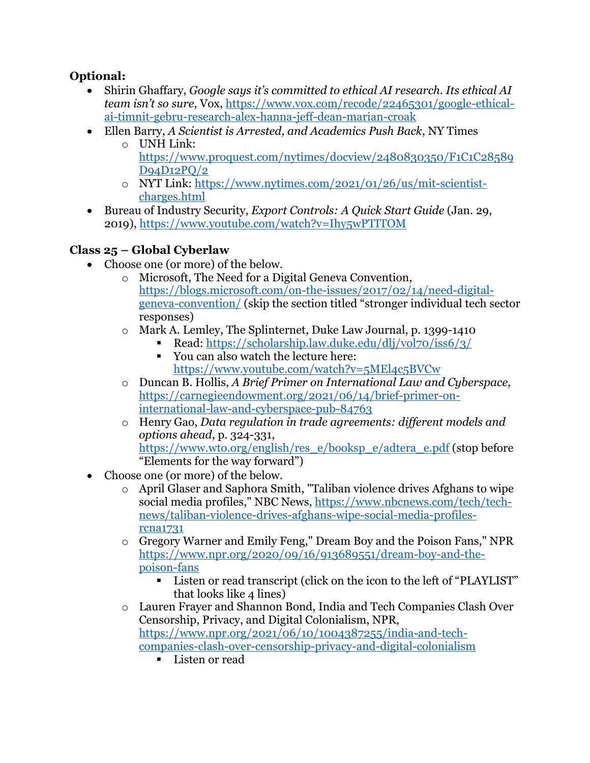### **Optional:**

- Shirin Ghaffary, *Google says it's committed to ethical AI research. Its ethical AI team isn't so sure*, Vox, https://www.vox.com/recode/22465301/google-ethicalai-timnit-gebru-research-alex-hanna-jeff-dean-marian-croak
- Ellen Barry, *A Scientist is Arrested, and Academics Push Back*, NY Times
	- o UNH Link: https://www.proquest.com/nytimes/docview/2480830350/F1C1C28589 D94D12PQ/2
	- o NYT Link: https://www.nytimes.com/2021/01/26/us/mit-scientistcharges.html
- Bureau of Industry Security, *Export Controls: A Quick Start Guide* (Jan. 29, 2019), https://www.youtube.com/watch?v=Ihy5wPTITOM

# **Class 25 – Global Cyberlaw**

- Choose one (or more) of the below.
	- o Microsoft, The Need for a Digital Geneva Convention, https://blogs.microsoft.com/on-the-issues/2017/02/14/need-digitalgeneva-convention/ (skip the section titled "stronger individual tech sector responses)
	- o Mark A. Lemley, The Splinternet, Duke Law Journal, p. 1399-1410
		- Read: https://scholarship.law.duke.edu/dlj/vol70/iss6/3/
		- § You can also watch the lecture here: https://www.youtube.com/watch?v=5MEl4c5BVCw
	- o Duncan B. Hollis, *A Brief Primer on International Law and Cyberspace*, https://carnegieendowment.org/2021/06/14/brief-primer-oninternational-law-and-cyberspace-pub-84763
	- o Henry Gao, *Data regulation in trade agreements: different models and options ahead*, p. 324-331, https://www.wto.org/english/res\_e/booksp\_e/adtera\_e.pdf (stop before "Elements for the way forward")
- Choose one (or more) of the below.
	- o April Glaser and Saphora Smith, "Taliban violence drives Afghans to wipe social media profiles," NBC News, https://www.nbcnews.com/tech/technews/taliban-violence-drives-afghans-wipe-social-media-profilesrcna1731
	- o Gregory Warner and Emily Feng," Dream Boy and the Poison Fans," NPR https://www.npr.org/2020/09/16/913689551/dream-boy-and-thepoison-fans
		- Listen or read transcript (click on the icon to the left of "PLAYLIST" that looks like 4 lines)
	- o Lauren Frayer and Shannon Bond, India and Tech Companies Clash Over Censorship, Privacy, and Digital Colonialism, NPR, https://www.npr.org/2021/06/10/1004387255/india-and-techcompanies-clash-over-censorship-privacy-and-digital-colonialism
		- § Listen or read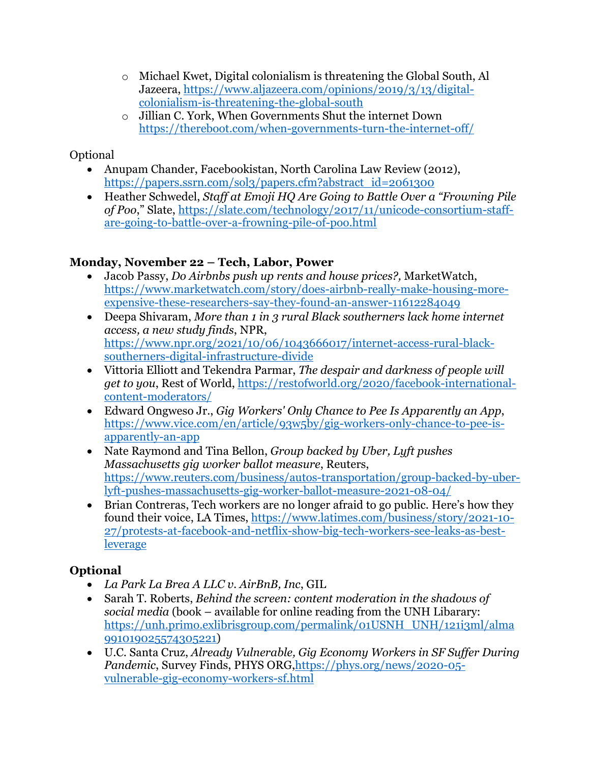- o Michael Kwet, Digital colonialism is threatening the Global South, Al Jazeera, https://www.aljazeera.com/opinions/2019/3/13/digitalcolonialism-is-threatening-the-global-south
- o Jillian C. York, When Governments Shut the internet Down https://thereboot.com/when-governments-turn-the-internet-off/

## Optional

- Anupam Chander, Facebookistan, North Carolina Law Review (2012), https://papers.ssrn.com/sol3/papers.cfm?abstract\_id=2061300
- Heather Schwedel, *Staff at Emoji HQ Are Going to Battle Over a "Frowning Pile of Poo*," Slate, https://slate.com/technology/2017/11/unicode-consortium-staffare-going-to-battle-over-a-frowning-pile-of-poo.html

## **Monday, November 22 – Tech, Labor, Power**

- Jacob Passy, *Do Airbnbs push up rents and house prices?,* MarketWatch, https://www.marketwatch.com/story/does-airbnb-really-make-housing-moreexpensive-these-researchers-say-they-found-an-answer-11612284049
- Deepa Shivaram, *More than 1 in 3 rural Black southerners lack home internet access, a new study finds*, NPR, https://www.npr.org/2021/10/06/1043666017/internet-access-rural-blacksoutherners-digital-infrastructure-divide
- Vittoria Elliott and Tekendra Parmar, *The despair and darkness of people will get to you*, Rest of World, https://restofworld.org/2020/facebook-internationalcontent-moderators/
- Edward Ongweso Jr., *Gig Workers' Only Chance to Pee Is Apparently an App*, https://www.vice.com/en/article/93w5by/gig-workers-only-chance-to-pee-isapparently-an-app
- Nate Raymond and Tina Bellon, *Group backed by Uber, Lyft pushes Massachusetts gig worker ballot measure*, Reuters, https://www.reuters.com/business/autos-transportation/group-backed-by-uberlyft-pushes-massachusetts-gig-worker-ballot-measure-2021-08-04/
- Brian Contreras, Tech workers are no longer afraid to go public. Here's how they found their voice, LA Times, https://www.latimes.com/business/story/2021-10- 27/protests-at-facebook-and-netflix-show-big-tech-workers-see-leaks-as-best**leverage**

# **Optional**

- *La Park La Brea A LLC v. AirBnB, Inc*, GIL
- Sarah T. Roberts, *Behind the screen: content moderation in the shadows of social media* (book – available for online reading from the UNH Libarary: https://unh.primo.exlibrisgroup.com/permalink/01USNH\_UNH/121i3ml/alma 991019025574305221)
- U.C. Santa Cruz, *Already Vulnerable, Gig Economy Workers in SF Suffer During Pandemic*, Survey Finds, PHYS ORG,https://phys.org/news/2020-05 vulnerable-gig-economy-workers-sf.html